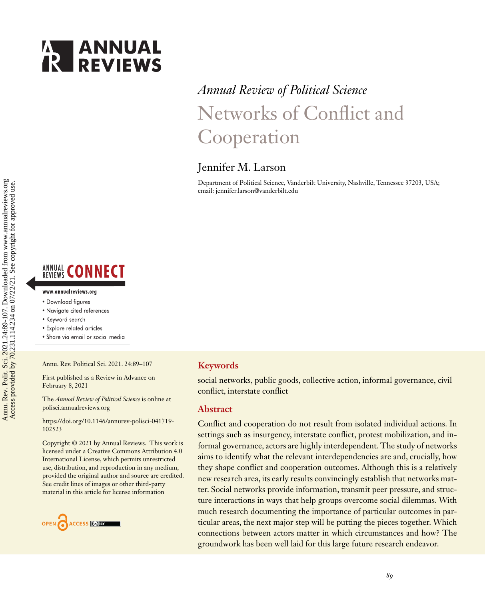

# *Annual Review of Political Science* Networks of Conflict and Cooperation

## Jennifer M. Larson

Department of Political Science, Vanderbilt University, Nashville, Tennessee 37203, USA; email: [jennifer.larson@vanderbilt.edu](mailto:jennifer.larson@vanderbilt.edu)

# **ANNUAL CONNECT**

#### www.annualreviews.org

- · Download figures
- Navigate cited references
- Keyword search
- · Explore related articles
- · Share via email or social media

Annu. Rev. Political Sci. 2021. 24:89–107

First published as a Review in Advance on February 8, 2021

The *Annual Review of Political Science* is online at polisci.annualreviews.org

[https://doi.org/10.1146/annurev-polisci-041719-](https://doi.org/10.1146/annurev-polisci-041719-102523) 102523

Copyright © 2021 by Annual Reviews. This work is licensed under a Creative Commons Attribution 4.0 International License, which permits unrestricted use, distribution, and reproduction in any medium, provided the original author and source are credited. See credit lines of images or other third-party material in this article for license information



#### **Keywords**

social networks, public goods, collective action, informal governance, civil conflict, interstate conflict

#### **Abstract**

Conflict and cooperation do not result from isolated individual actions. In settings such as insurgency, interstate conflict, protest mobilization, and informal governance, actors are highly interdependent. The study of networks aims to identify what the relevant interdependencies are and, crucially, how they shape conflict and cooperation outcomes. Although this is a relatively new research area, its early results convincingly establish that networks matter. Social networks provide information, transmit peer pressure, and structure interactions in ways that help groups overcome social dilemmas. With much research documenting the importance of particular outcomes in particular areas, the next major step will be putting the pieces together. Which connections between actors matter in which circumstances and how? The groundwork has been well laid for this large future research endeavor.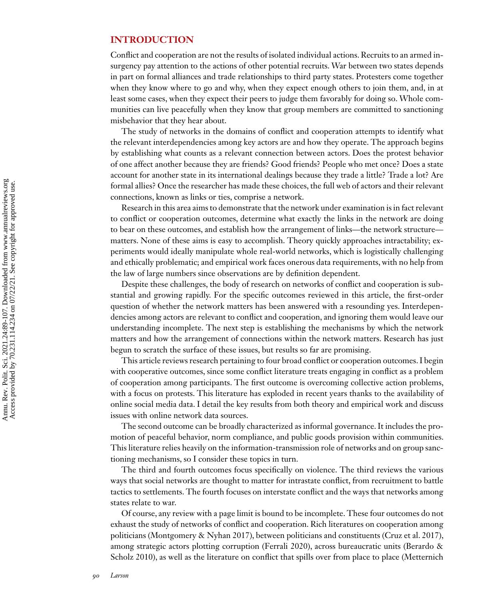#### **INTRODUCTION**

Conflict and cooperation are not the results of isolated individual actions. Recruits to an armed insurgency pay attention to the actions of other potential recruits. War between two states depends in part on formal alliances and trade relationships to third party states. Protesters come together when they know where to go and why, when they expect enough others to join them, and, in at least some cases, when they expect their peers to judge them favorably for doing so. Whole communities can live peacefully when they know that group members are committed to sanctioning misbehavior that they hear about.

The study of networks in the domains of conflict and cooperation attempts to identify what the relevant interdependencies among key actors are and how they operate. The approach begins by establishing what counts as a relevant connection between actors. Does the protest behavior of one affect another because they are friends? Good friends? People who met once? Does a state account for another state in its international dealings because they trade a little? Trade a lot? Are formal allies? Once the researcher has made these choices, the full web of actors and their relevant connections, known as links or ties, comprise a network.

Research in this area aims to demonstrate that the network under examination is in fact relevant to conflict or cooperation outcomes, determine what exactly the links in the network are doing to bear on these outcomes, and establish how the arrangement of links—the network structure matters. None of these aims is easy to accomplish. Theory quickly approaches intractability; experiments would ideally manipulate whole real-world networks, which is logistically challenging and ethically problematic; and empirical work faces onerous data requirements, with no help from the law of large numbers since observations are by definition dependent.

Despite these challenges, the body of research on networks of conflict and cooperation is substantial and growing rapidly. For the specific outcomes reviewed in this article, the first-order question of whether the network matters has been answered with a resounding yes. Interdependencies among actors are relevant to conflict and cooperation, and ignoring them would leave our understanding incomplete. The next step is establishing the mechanisms by which the network matters and how the arrangement of connections within the network matters. Research has just begun to scratch the surface of these issues, but results so far are promising.

This article reviews research pertaining to four broad conflict or cooperation outcomes. I begin with cooperative outcomes, since some conflict literature treats engaging in conflict as a problem of cooperation among participants. The first outcome is overcoming collective action problems, with a focus on protests. This literature has exploded in recent years thanks to the availability of online social media data. I detail the key results from both theory and empirical work and discuss issues with online network data sources.

The second outcome can be broadly characterized as informal governance. It includes the promotion of peaceful behavior, norm compliance, and public goods provision within communities. This literature relies heavily on the information-transmission role of networks and on group sanctioning mechanisms, so I consider these topics in turn.

The third and fourth outcomes focus specifically on violence. The third reviews the various ways that social networks are thought to matter for intrastate conflict, from recruitment to battle tactics to settlements. The fourth focuses on interstate conflict and the ways that networks among states relate to war.

Of course, any review with a page limit is bound to be incomplete. These four outcomes do not exhaust the study of networks of conflict and cooperation. Rich literatures on cooperation among politicians [\(Montgomery & Nyhan 2017\)](#page-18-0), between politicians and constituents [\(Cruz et al. 2017\)](#page-16-0), [among strategic actors plotting corruption \(Ferrali 2020\), across bureaucratic units \(Berardo &](#page-15-0) Scholz 2010), as well as the literature on conflict that spills over from place to place [\(Metternich](#page-18-0)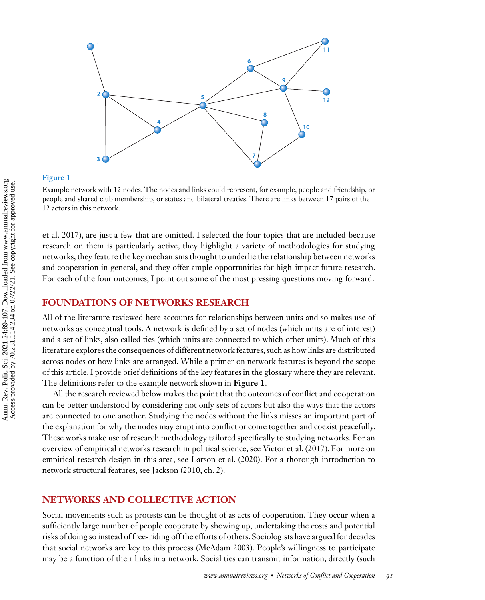

#### **Figure 1**

Example network with 12 nodes. The nodes and links could represent, for example, people and friendship, or people and shared club membership, or states and bilateral treaties. There are links between 17 pairs of the 12 actors in this network.

[et al. 2017\)](#page-18-0), are just a few that are omitted. I selected the four topics that are included because research on them is particularly active, they highlight a variety of methodologies for studying networks, they feature the key mechanisms thought to underlie the relationship between networks and cooperation in general, and they offer ample opportunities for high-impact future research. For each of the four outcomes, I point out some of the most pressing questions moving forward.

## **FOUNDATIONS OF NETWORKS RESEARCH**

All of the literature reviewed here accounts for relationships between units and so makes use of networks as conceptual tools. A network is defined by a set of nodes (which units are of interest) and a set of links, also called ties (which units are connected to which other units). Much of this literature explores the consequences of different network features, such as how links are distributed across nodes or how links are arranged. While a primer on network features is beyond the scope of this article, I provide brief definitions of the key features in the glossary where they are relevant. The definitions refer to the example network shown in **Figure 1**.

All the research reviewed below makes the point that the outcomes of conflict and cooperation can be better understood by considering not only sets of actors but also the ways that the actors are connected to one another. Studying the nodes without the links misses an important part of the explanation for why the nodes may erupt into conflict or come together and coexist peacefully. These works make use of research methodology tailored specifically to studying networks. For an overview of empirical networks research in political science, see [Victor et al. \(2017\).](#page-18-0) For more on empirical research design in this area, see [Larson et al. \(2020\).](#page-17-0) For a thorough introduction to network structural features, see [Jackson \(2010,](#page-17-0) ch. 2).

#### **NETWORKS AND COLLECTIVE ACTION**

Social movements such as protests can be thought of as acts of cooperation. They occur when a sufficiently large number of people cooperate by showing up, undertaking the costs and potential risks of doing so instead of free-riding off the efforts of others. Sociologists have argued for decades that social networks are key to this process [\(McAdam 2003\)](#page-17-0). People's willingness to participate may be a function of their links in a network. Social ties can transmit information, directly (such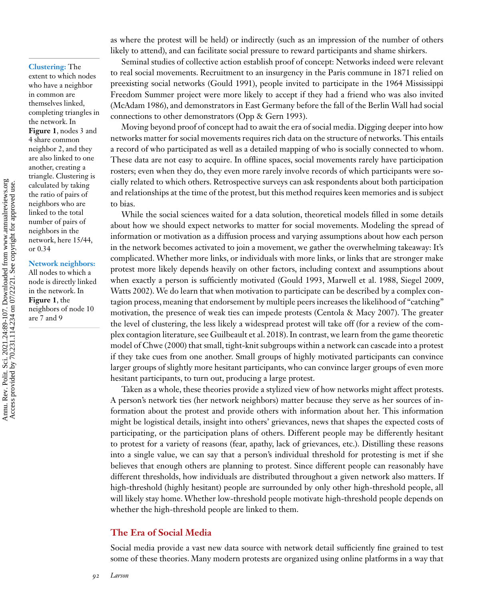as where the protest will be held) or indirectly (such as an impression of the number of others likely to attend), and can facilitate social pressure to reward participants and shame shirkers.

**Clustering:** The

extent to which nodes who have a neighbor in common are themselves linked, completing triangles in the network. In **Figure 1**, nodes 3 and 4 share common neighbor 2, and they are also linked to one another, creating a triangle. Clustering is calculated by taking the ratio of pairs of neighbors who are linked to the total number of pairs of neighbors in the network, here 15/44, or 0.34

#### **Network neighbors:**

All nodes to which a node is directly linked in the network. In **Figure 1**, the neighbors of node 10 are 7 and 9

Seminal studies of collective action establish proof of concept: Networks indeed were relevant to real social movements. Recruitment to an insurgency in the Paris commune in 1871 relied on preexisting social networks [\(Gould 1991\)](#page-16-0), people invited to participate in the 1964 Mississippi Freedom Summer project were more likely to accept if they had a friend who was also invited [\(McAdam 1986\)](#page-17-0), and demonstrators in East Germany before the fall of the Berlin Wall had social connections to other demonstrators [\(Opp & Gern 1993\)](#page-18-0).

Moving beyond proof of concept had to await the era of social media. Digging deeper into how networks matter for social movements requires rich data on the structure of networks. This entails a record of who participated as well as a detailed mapping of who is socially connected to whom. These data are not easy to acquire. In offline spaces, social movements rarely have participation rosters; even when they do, they even more rarely involve records of which participants were socially related to which others. Retrospective surveys can ask respondents about both participation and relationships at the time of the protest, but this method requires keen memories and is subject to bias.

While the social sciences waited for a data solution, theoretical models filled in some details about how we should expect networks to matter for social movements. Modeling the spread of information or motivation as a diffusion process and varying assumptions about how each person in the network becomes activated to join a movement, we gather the overwhelming takeaway: It's complicated. Whether more links, or individuals with more links, or links that are stronger make protest more likely depends heavily on other factors, including context and assumptions about when exactly a person is sufficiently motivated [\(Gould 1993,](#page-16-0) [Marwell et al. 1988,](#page-17-0) [Siegel 2009,](#page-18-0) [Watts 2002\)](#page-18-0). We do learn that when motivation to participate can be described by a complex contagion process, meaning that endorsement by multiple peers increases the likelihood of "catching" motivation, the presence of weak ties can impede protests [\(Centola & Macy 2007\)](#page-16-0). The greater the level of clustering, the less likely a widespread protest will take off (for a review of the complex contagion literature, see [Guilbeault et al. 2018\)](#page-16-0). In contrast, we learn from the game theoretic model of [Chwe \(2000\)](#page-16-0) that small, tight-knit subgroups within a network can cascade into a protest if they take cues from one another. Small groups of highly motivated participants can convince larger groups of slightly more hesitant participants, who can convince larger groups of even more hesitant participants, to turn out, producing a large protest.

Taken as a whole, these theories provide a stylized view of how networks might affect protests. A person's network ties (her network neighbors) matter because they serve as her sources of information about the protest and provide others with information about her. This information might be logistical details, insight into others' grievances, news that shapes the expected costs of participating, or the participation plans of others. Different people may be differently hesitant to protest for a variety of reasons (fear, apathy, lack of grievances, etc.). Distilling these reasons into a single value, we can say that a person's individual threshold for protesting is met if she believes that enough others are planning to protest. Since different people can reasonably have different thresholds, how individuals are distributed throughout a given network also matters. If high-threshold (highly hesitant) people are surrounded by only other high-threshold people, all will likely stay home. Whether low-threshold people motivate high-threshold people depends on whether the high-threshold people are linked to them.

#### **The Era of Social Media**

Social media provide a vast new data source with network detail sufficiently fine grained to test some of these theories. Many modern protests are organized using online platforms in a way that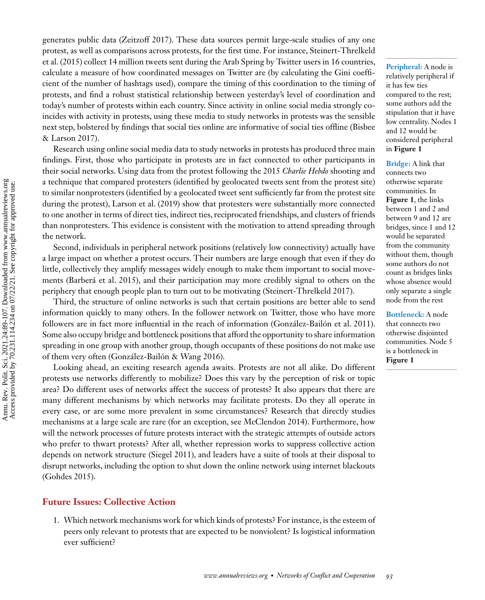generates public data [\(Zeitzoff 2017\)](#page-18-0). These data sources permit large-scale studies of any one protest, as well as comparisons across protests, for the first time. For instance, Steinert-Threlkeld [et al. \(2015\) collect 14 million tweets sent during the Arab Spring by Twitter users in 16 countries,](#page-18-0) calculate a measure of how coordinated messages on Twitter are (by calculating the Gini coefficient of the number of hashtags used), compare the timing of this coordination to the timing of protests, and find a robust statistical relationship between yesterday's level of coordination and today's number of protests within each country. Since activity in online social media strongly coincides with activity in protests, using these media to study networks in protests was the sensible [next step, bolstered by findings that social ties online are informative of social ties offline \(Bisbee](#page-15-0) & Larson 2017).

Research using online social media data to study networks in protests has produced three main findings. First, those who participate in protests are in fact connected to other participants in their social networks. Using data from the protest following the 2015 *Charlie Hebdo* shooting and a technique that compared protesters (identified by geolocated tweets sent from the protest site) to similar nonprotesters (identified by a geolocated tweet sent sufficiently far from the protest site during the protest), [Larson et al. \(2019\)](#page-17-0) show that protesters were substantially more connected to one another in terms of direct ties, indirect ties, reciprocated friendships, and clusters of friends than nonprotesters. This evidence is consistent with the motivation to attend spreading through the network.

Second, individuals in peripheral network positions (relatively low connectivity) actually have a large impact on whether a protest occurs. Their numbers are large enough that even if they do little, collectively they amplify messages widely enough to make them important to social movements [\(Barberá et al. 2015\)](#page-15-0), and their participation may more credibly signal to others on the periphery that enough people plan to turn out to be motivating [\(Steinert-Threlkeld 2017\)](#page-18-0).

Third, the structure of online networks is such that certain positions are better able to send information quickly to many others. In the follower network on Twitter, those who have more followers are in fact more influential in the reach of information [\(González-Bailón et al. 2011\)](#page-16-0). Some also occupy bridge and bottleneck positions that afford the opportunity to share information spreading in one group with another group, though occupants of these positions do not make use of them very often [\(González-Bailón & Wang 2016\)](#page-16-0).

Looking ahead, an exciting research agenda awaits. Protests are not all alike. Do different protests use networks differently to mobilize? Does this vary by the perception of risk or topic area? Do different uses of networks affect the success of protests? It also appears that there are many different mechanisms by which networks may facilitate protests. Do they all operate in every case, or are some more prevalent in some circumstances? Research that directly studies mechanisms at a large scale are rare (for an exception, see [McClendon 2014\)](#page-17-0). Furthermore, how will the network processes of future protests interact with the strategic attempts of outside actors who prefer to thwart protests? After all, whether repression works to suppress collective action depends on network structure [\(Siegel 2011\)](#page-18-0), and leaders have a suite of tools at their disposal to disrupt networks, including the option to shut down the online network using internet blackouts [\(Gohdes 2015\)](#page-16-0).

#### **Future Issues: Collective Action**

1. Which network mechanisms work for which kinds of protests? For instance, is the esteem of peers only relevant to protests that are expected to be nonviolent? Is logistical information ever sufficient?

**Peripheral:** A node is relatively peripheral if it has few ties compared to the rest; some authors add the stipulation that it have low centrality. Nodes 1 and 12 would be considered peripheral in **Figure 1**

**Bridge:** A link that connects two otherwise separate communities. In **Figure 1**, the links between 1 and 2 and between 9 and 12 are bridges, since 1 and 12 would be separated from the community without them, though some authors do not count as bridges links whose absence would only separate a single node from the rest

**Bottleneck:** A node that connects two otherwise disjointed communities. Node 5 is a bottleneck in **Figure 1**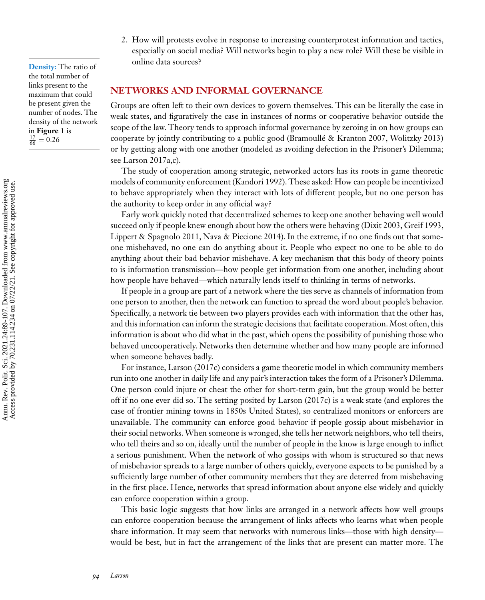**Density:** The ratio of the total number of links present to the maximum that could be present given the number of nodes. The density of the network in **Figure 1** is  $\frac{17}{66} = 0.26$ 

2. How will protests evolve in response to increasing counterprotest information and tactics, especially on social media? Will networks begin to play a new role? Will these be visible in online data sources?

#### **NETWORKS AND INFORMAL GOVERNANCE**

Groups are often left to their own devices to govern themselves. This can be literally the case in weak states, and figuratively the case in instances of norms or cooperative behavior outside the scope of the law. Theory tends to approach informal governance by zeroing in on how groups can cooperate by jointly contributing to a public good [\(Bramoullé & Kranton 2007,](#page-15-0) [Wolitzky 2013\)](#page-18-0) or by getting along with one another (modeled as avoiding defection in the Prisoner's Dilemma; see [Larson 2017a,](#page-17-0)c).

The study of cooperation among strategic, networked actors has its roots in game theoretic models of community enforcement [\(Kandori 1992\)](#page-17-0). These asked: How can people be incentivized to behave appropriately when they interact with lots of different people, but no one person has the authority to keep order in any official way?

Early work quickly noted that decentralized schemes to keep one another behaving well would succeed only if people knew enough about how the others were behaving [\(Dixit 2003, Greif 1993,](#page-16-0) [Lippert & Spagnolo 2011,](#page-17-0) [Nava & Piccione 2014\)](#page-18-0). In the extreme, if no one finds out that someone misbehaved, no one can do anything about it. People who expect no one to be able to do anything about their bad behavior misbehave. A key mechanism that this body of theory points to is information transmission—how people get information from one another, including about how people have behaved—which naturally lends itself to thinking in terms of networks.

If people in a group are part of a network where the ties serve as channels of information from one person to another, then the network can function to spread the word about people's behavior. Specifically, a network tie between two players provides each with information that the other has, and this information can inform the strategic decisions that facilitate cooperation. Most often, this information is about who did what in the past, which opens the possibility of punishing those who behaved uncooperatively. Networks then determine whether and how many people are informed when someone behaves badly.

For instance, [Larson \(2017c\)](#page-17-0) considers a game theoretic model in which community members run into one another in daily life and any pair's interaction takes the form of a Prisoner's Dilemma. One person could injure or cheat the other for short-term gain, but the group would be better off if no one ever did so. The setting posited by [Larson \(2017c\)](#page-17-0) is a weak state (and explores the case of frontier mining towns in 1850s United States), so centralized monitors or enforcers are unavailable. The community can enforce good behavior if people gossip about misbehavior in their social networks.When someone is wronged, she tells her network neighbors, who tell theirs, who tell theirs and so on, ideally until the number of people in the know is large enough to inflict a serious punishment. When the network of who gossips with whom is structured so that news of misbehavior spreads to a large number of others quickly, everyone expects to be punished by a sufficiently large number of other community members that they are deterred from misbehaving in the first place. Hence, networks that spread information about anyone else widely and quickly can enforce cooperation within a group.

This basic logic suggests that how links are arranged in a network affects how well groups can enforce cooperation because the arrangement of links affects who learns what when people share information. It may seem that networks with numerous links—those with high density would be best, but in fact the arrangement of the links that are present can matter more. The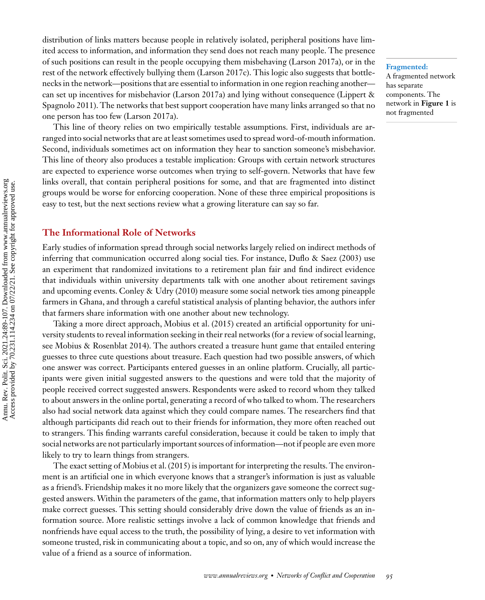distribution of links matters because people in relatively isolated, peripheral positions have limited access to information, and information they send does not reach many people. The presence of such positions can result in the people occupying them misbehaving [\(Larson 2017a\)](#page-17-0), or in the rest of the network effectively bullying them [\(Larson 2017c\)](#page-17-0). This logic also suggests that bottlenecks in the network—positions that are essential to information in one region reaching another can set up incentives for misbehavior [\(Larson 2017a\)](#page-17-0) and lying without consequence (Lippert & [Spagnolo 2011\). The networks that best support cooperation have many links arranged so that no](#page-17-0) one person has too few [\(Larson 2017a\)](#page-17-0).

This line of theory relies on two empirically testable assumptions. First, individuals are arranged into social networks that are at least sometimes used to spread word-of-mouth information. Second, individuals sometimes act on information they hear to sanction someone's misbehavior. This line of theory also produces a testable implication: Groups with certain network structures are expected to experience worse outcomes when trying to self-govern. Networks that have few links overall, that contain peripheral positions for some, and that are fragmented into distinct groups would be worse for enforcing cooperation. None of these three empirical propositions is easy to test, but the next sections review what a growing literature can say so far.

#### **The Informational Role of Networks**

Early studies of information spread through social networks largely relied on indirect methods of inferring that communication occurred along social ties. For instance, [Duflo & Saez \(2003\)](#page-16-0) use an experiment that randomized invitations to a retirement plan fair and find indirect evidence that individuals within university departments talk with one another about retirement savings and upcoming events. [Conley & Udry \(2010\)](#page-16-0) measure some social network ties among pineapple farmers in Ghana, and through a careful statistical analysis of planting behavior, the authors infer that farmers share information with one another about new technology.

Taking a more direct approach, [Mobius et al. \(2015\)](#page-18-0) created an artificial opportunity for university students to reveal information seeking in their real networks (for a review of social learning, see [Mobius & Rosenblat 2014\)](#page-18-0). The authors created a treasure hunt game that entailed entering guesses to three cute questions about treasure. Each question had two possible answers, of which one answer was correct. Participants entered guesses in an online platform. Crucially, all participants were given initial suggested answers to the questions and were told that the majority of people received correct suggested answers. Respondents were asked to record whom they talked to about answers in the online portal, generating a record of who talked to whom. The researchers also had social network data against which they could compare names. The researchers find that although participants did reach out to their friends for information, they more often reached out to strangers. This finding warrants careful consideration, because it could be taken to imply that social networks are not particularly important sources of information—not if people are even more likely to try to learn things from strangers.

The exact setting of [Mobius et al. \(2015\)](#page-18-0) is important for interpreting the results. The environment is an artificial one in which everyone knows that a stranger's information is just as valuable as a friend's. Friendship makes it no more likely that the organizers gave someone the correct suggested answers. Within the parameters of the game, that information matters only to help players make correct guesses. This setting should considerably drive down the value of friends as an information source. More realistic settings involve a lack of common knowledge that friends and nonfriends have equal access to the truth, the possibility of lying, a desire to vet information with someone trusted, risk in communicating about a topic, and so on, any of which would increase the value of a friend as a source of information.

**Fragmented:**

A fragmented network has separate components. The network in **Figure 1** is not fragmented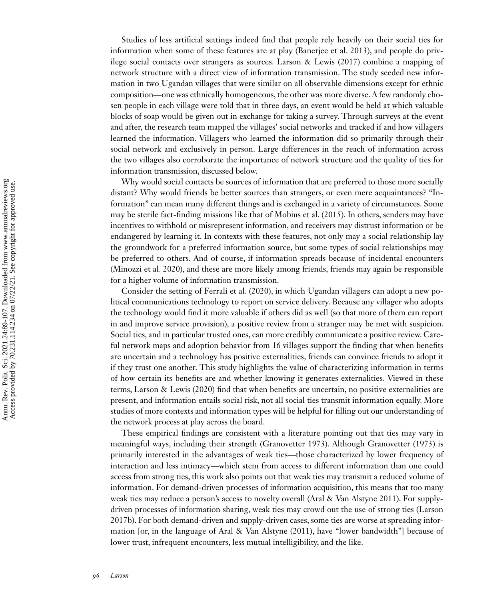Studies of less artificial settings indeed find that people rely heavily on their social ties for information when some of these features are at play [\(Banerjee et al. 2013\)](#page-15-0), and people do privilege social contacts over strangers as sources. [Larson & Lewis \(2017\)](#page-17-0) combine a mapping of network structure with a direct view of information transmission. The study seeded new information in two Ugandan villages that were similar on all observable dimensions except for ethnic composition—one was ethnically homogeneous, the other was more diverse. A few randomly chosen people in each village were told that in three days, an event would be held at which valuable blocks of soap would be given out in exchange for taking a survey. Through surveys at the event and after, the research team mapped the villages' social networks and tracked if and how villagers learned the information. Villagers who learned the information did so primarily through their social network and exclusively in person. Large differences in the reach of information across the two villages also corroborate the importance of network structure and the quality of ties for information transmission, discussed below.

Why would social contacts be sources of information that are preferred to those more socially distant? Why would friends be better sources than strangers, or even mere acquaintances? "Information" can mean many different things and is exchanged in a variety of circumstances. Some may be sterile fact-finding missions like that of [Mobius et al. \(2015\).](#page-18-0) In others, senders may have incentives to withhold or misrepresent information, and receivers may distrust information or be endangered by learning it. In contexts with these features, not only may a social relationship lay the groundwork for a preferred information source, but some types of social relationships may be preferred to others. And of course, if information spreads because of incidental encounters [\(Minozzi et al. 2020\)](#page-18-0), and these are more likely among friends, friends may again be responsible for a higher volume of information transmission.

Consider the setting of [Ferrali et al. \(2020\),](#page-16-0) in which Ugandan villagers can adopt a new political communications technology to report on service delivery. Because any villager who adopts the technology would find it more valuable if others did as well (so that more of them can report in and improve service provision), a positive review from a stranger may be met with suspicion. Social ties, and in particular trusted ones, can more credibly communicate a positive review. Careful network maps and adoption behavior from 16 villages support the finding that when benefits are uncertain and a technology has positive externalities, friends can convince friends to adopt it if they trust one another. This study highlights the value of characterizing information in terms of how certain its benefits are and whether knowing it generates externalities. Viewed in these terms, [Larson & Lewis \(2020\)](#page-17-0) find that when benefits are uncertain, no positive externalities are present, and information entails social risk, not all social ties transmit information equally. More studies of more contexts and information types will be helpful for filling out our understanding of the network process at play across the board.

These empirical findings are consistent with a literature pointing out that ties may vary in meaningful ways, including their strength [\(Granovetter 1973\)](#page-16-0). Although [Granovetter \(1973\)](#page-16-0) is primarily interested in the advantages of weak ties—those characterized by lower frequency of interaction and less intimacy—which stem from access to different information than one could access from strong ties, this work also points out that weak ties may transmit a reduced volume of information. For demand-driven processes of information acquisition, this means that too many weak ties may reduce a person's access to novelty overall [\(Aral & Van Alstyne 2011\)](#page-15-0). For supply[driven processes of information sharing, weak ties may crowd out the use of strong ties \(Larson](#page-17-0) 2017b). For both demand-driven and supply-driven cases, some ties are worse at spreading information [or, in the language of [Aral & Van Alstyne \(2011\),](#page-15-0) have "lower bandwidth"] because of lower trust, infrequent encounters, less mutual intelligibility, and the like.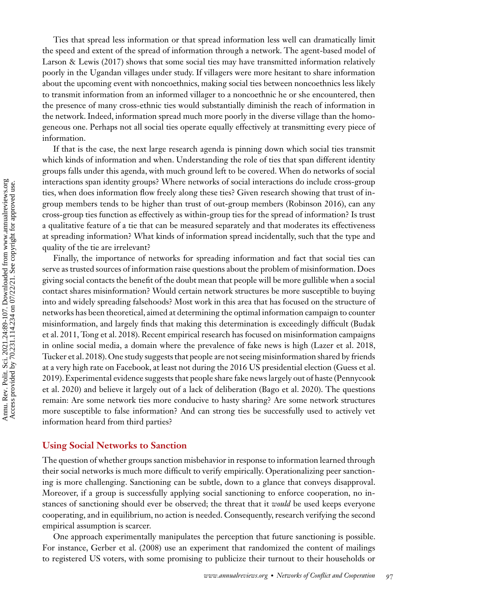Ties that spread less information or that spread information less well can dramatically limit the speed and extent of the spread of information through a network. The agent-based model of [Larson & Lewis \(2017\)](#page-17-0) shows that some social ties may have transmitted information relatively poorly in the Ugandan villages under study. If villagers were more hesitant to share information about the upcoming event with noncoethnics, making social ties between noncoethnics less likely to transmit information from an informed villager to a noncoethnic he or she encountered, then the presence of many cross-ethnic ties would substantially diminish the reach of information in the network. Indeed, information spread much more poorly in the diverse village than the homogeneous one. Perhaps not all social ties operate equally effectively at transmitting every piece of information.

If that is the case, the next large research agenda is pinning down which social ties transmit which kinds of information and when. Understanding the role of ties that span different identity groups falls under this agenda, with much ground left to be covered. When do networks of social interactions span identity groups? Where networks of social interactions do include cross-group ties, when does information flow freely along these ties? Given research showing that trust of ingroup members tends to be higher than trust of out-group members [\(Robinson 2016\)](#page-18-0), can any cross-group ties function as effectively as within-group ties for the spread of information? Is trust a qualitative feature of a tie that can be measured separately and that moderates its effectiveness at spreading information? What kinds of information spread incidentally, such that the type and quality of the tie are irrelevant?

Finally, the importance of networks for spreading information and fact that social ties can serve as trusted sources of information raise questions about the problem of misinformation. Does giving social contacts the benefit of the doubt mean that people will be more gullible when a social contact shares misinformation? Would certain network structures be more susceptible to buying into and widely spreading falsehoods? Most work in this area that has focused on the structure of networks has been theoretical, aimed at determining the optimal information campaign to counter [misinformation, and largely finds that making this determination is exceedingly difficult \(Budak](#page-16-0) et al. 2011, [Tong et al. 2018\)](#page-18-0). Recent empirical research has focused on misinformation campaigns in online social media, a domain where the prevalence of fake news is high [\(Lazer et al. 2018,](#page-17-0) [Tucker et al. 2018\)](#page-18-0). One study suggests that people are not seeing misinformation shared by friends [at a very high rate on Facebook, at least not during the 2016 US presidential election \(Guess et al.](#page-16-0) 2019). Experimental evidence suggests that people share fake news largely out of haste (Pennycook [et al. 2020\) and believe it largely out of a lack of deliberation \(Bago et al. 2020\). The questions](#page-18-0) remain: Are some network ties more conducive to hasty sharing? Are some network structures more susceptible to false information? And can strong ties be successfully used to actively vet information heard from third parties?

#### **Using Social Networks to Sanction**

The question of whether groups sanction misbehavior in response to information learned through their social networks is much more difficult to verify empirically. Operationalizing peer sanctioning is more challenging. Sanctioning can be subtle, down to a glance that conveys disapproval. Moreover, if a group is successfully applying social sanctioning to enforce cooperation, no instances of sanctioning should ever be observed; the threat that it *would* be used keeps everyone cooperating, and in equilibrium, no action is needed. Consequently, research verifying the second empirical assumption is scarcer.

One approach experimentally manipulates the perception that future sanctioning is possible. For instance, [Gerber et al. \(2008\)](#page-16-0) use an experiment that randomized the content of mailings to registered US voters, with some promising to publicize their turnout to their households or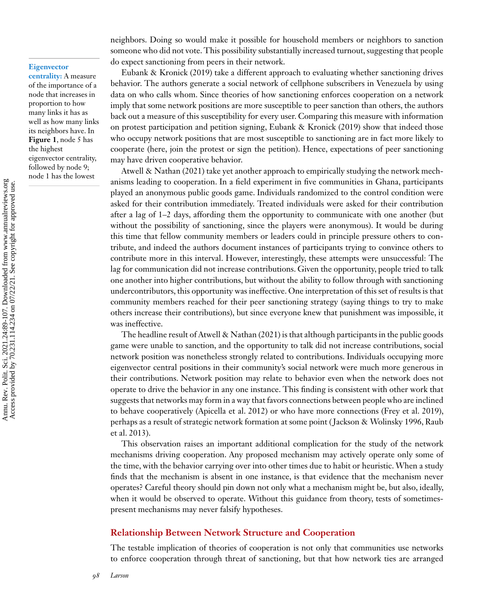**Eigenvector**

**centrality:** A measure of the importance of a node that increases in proportion to how many links it has as well as how many links its neighbors have. In **Figure 1**, node 5 has the highest eigenvector centrality, followed by node 9; node 1 has the lowest

neighbors. Doing so would make it possible for household members or neighbors to sanction someone who did not vote. This possibility substantially increased turnout, suggesting that people do expect sanctioning from peers in their network.

[Eubank & Kronick \(2019\)](#page-16-0) take a different approach to evaluating whether sanctioning drives behavior. The authors generate a social network of cellphone subscribers in Venezuela by using data on who calls whom. Since theories of how sanctioning enforces cooperation on a network imply that some network positions are more susceptible to peer sanction than others, the authors back out a measure of this susceptibility for every user. Comparing this measure with information on protest participation and petition signing, [Eubank & Kronick \(2019\)](#page-16-0) show that indeed those who occupy network positions that are most susceptible to sanctioning are in fact more likely to cooperate (here, join the protest or sign the petition). Hence, expectations of peer sanctioning may have driven cooperative behavior.

[Atwell & Nathan \(2021\)](#page-15-0) take yet another approach to empirically studying the network mechanisms leading to cooperation. In a field experiment in five communities in Ghana, participants played an anonymous public goods game. Individuals randomized to the control condition were asked for their contribution immediately. Treated individuals were asked for their contribution after a lag of 1–2 days, affording them the opportunity to communicate with one another (but without the possibility of sanctioning, since the players were anonymous). It would be during this time that fellow community members or leaders could in principle pressure others to contribute, and indeed the authors document instances of participants trying to convince others to contribute more in this interval. However, interestingly, these attempts were unsuccessful: The lag for communication did not increase contributions. Given the opportunity, people tried to talk one another into higher contributions, but without the ability to follow through with sanctioning undercontributors, this opportunity was ineffective. One interpretation of this set of results is that community members reached for their peer sanctioning strategy (saying things to try to make others increase their contributions), but since everyone knew that punishment was impossible, it was ineffective.

The headline result of [Atwell & Nathan \(2021\)](#page-15-0) is that although participants in the public goods game were unable to sanction, and the opportunity to talk did not increase contributions, social network position was nonetheless strongly related to contributions. Individuals occupying more eigenvector central positions in their community's social network were much more generous in their contributions. Network position may relate to behavior even when the network does not operate to drive the behavior in any one instance. This finding is consistent with other work that suggests that networks may form in a way that favors connections between people who are inclined to behave cooperatively [\(Apicella et al. 2012\)](#page-15-0) or who have more connections [\(Frey et al. 2019\)](#page-16-0), [perhaps as a result of strategic network formation at some point \(](#page-18-0) [Jackson & Wolinsky 1996](#page-17-0)[, Raub](#page-18-0) et al. 2013).

This observation raises an important additional complication for the study of the network mechanisms driving cooperation. Any proposed mechanism may actively operate only some of the time, with the behavior carrying over into other times due to habit or heuristic. When a study finds that the mechanism is absent in one instance, is that evidence that the mechanism never operates? Careful theory should pin down not only what a mechanism might be, but also, ideally, when it would be observed to operate. Without this guidance from theory, tests of sometimespresent mechanisms may never falsify hypotheses.

### **Relationship Between Network Structure and Cooperation**

The testable implication of theories of cooperation is not only that communities use networks to enforce cooperation through threat of sanctioning, but that how network ties are arranged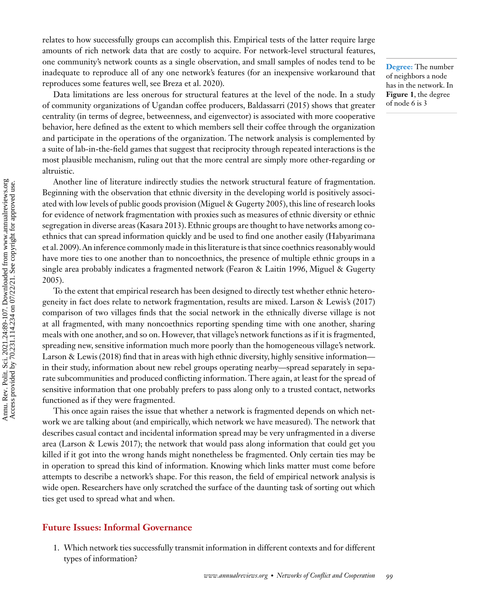relates to how successfully groups can accomplish this. Empirical tests of the latter require large amounts of rich network data that are costly to acquire. For network-level structural features, one community's network counts as a single observation, and small samples of nodes tend to be inadequate to reproduce all of any one network's features (for an inexpensive workaround that reproduces some features well, see [Breza et al. 2020\)](#page-16-0).

Data limitations are less onerous for structural features at the level of the node. In a study of community organizations of Ugandan coffee producers, [Baldassarri \(2015\)](#page-15-0) shows that greater centrality (in terms of degree, betweenness, and eigenvector) is associated with more cooperative behavior, here defined as the extent to which members sell their coffee through the organization and participate in the operations of the organization. The network analysis is complemented by a suite of lab-in-the-field games that suggest that reciprocity through repeated interactions is the most plausible mechanism, ruling out that the more central are simply more other-regarding or altruistic.

Another line of literature indirectly studies the network structural feature of fragmentation. Beginning with the observation that ethnic diversity in the developing world is positively associated with low levels of public goods provision [\(Miguel & Gugerty 2005\)](#page-18-0), this line of research looks for evidence of network fragmentation with proxies such as measures of ethnic diversity or ethnic segregation in diverse areas [\(Kasara 2013\)](#page-17-0). Ethnic groups are thought to have networks among coethnics that can spread information quickly and be used to find one another easily (Habyarimana [et al. 2009\). An inference commonly made in this literature is that since coethnics reasonably would](#page-16-0) have more ties to one another than to noncoethnics, the presence of multiple ethnic groups in a [single area probably indicates a fragmented network \(Fearon & Laitin 1996, Miguel & Gugerty](#page-18-0) 2005).

To the extent that empirical research has been designed to directly test whether ethnic heterogeneity in fact does relate to network fragmentation, results are mixed. [Larson & Lewis's \(2017\)](#page-17-0) comparison of two villages finds that the social network in the ethnically diverse village is not at all fragmented, with many noncoethnics reporting spending time with one another, sharing meals with one another, and so on. However, that village's network functions as if it is fragmented, spreading new, sensitive information much more poorly than the homogeneous village's network. [Larson & Lewis \(2018\)](#page-17-0) find that in areas with high ethnic diversity, highly sensitive information in their study, information about new rebel groups operating nearby—spread separately in separate subcommunities and produced conflicting information. There again, at least for the spread of sensitive information that one probably prefers to pass along only to a trusted contact, networks functioned as if they were fragmented.

This once again raises the issue that whether a network is fragmented depends on which network we are talking about (and empirically, which network we have measured). The network that describes casual contact and incidental information spread may be very unfragmented in a diverse area [\(Larson & Lewis 2017\)](#page-17-0); the network that would pass along information that could get you killed if it got into the wrong hands might nonetheless be fragmented. Only certain ties may be in operation to spread this kind of information. Knowing which links matter must come before attempts to describe a network's shape. For this reason, the field of empirical network analysis is wide open. Researchers have only scratched the surface of the daunting task of sorting out which ties get used to spread what and when.

#### **Future Issues: Informal Governance**

1. Which network ties successfully transmit information in different contexts and for different types of information?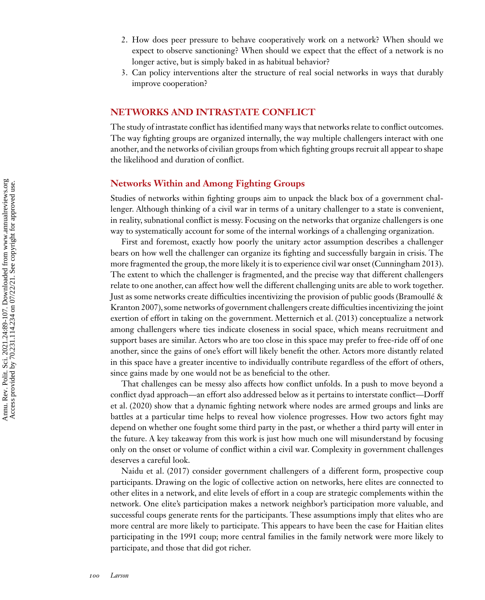- 2. How does peer pressure to behave cooperatively work on a network? When should we expect to observe sanctioning? When should we expect that the effect of a network is no longer active, but is simply baked in as habitual behavior?
- 3. Can policy interventions alter the structure of real social networks in ways that durably improve cooperation?

## **NETWORKS AND INTRASTATE CONFLICT**

The study of intrastate conflict has identified many ways that networks relate to conflict outcomes. The way fighting groups are organized internally, the way multiple challengers interact with one another, and the networks of civilian groups from which fighting groups recruit all appear to shape the likelihood and duration of conflict.

### **Networks Within and Among Fighting Groups**

Studies of networks within fighting groups aim to unpack the black box of a government challenger. Although thinking of a civil war in terms of a unitary challenger to a state is convenient, in reality, subnational conflict is messy. Focusing on the networks that organize challengers is one way to systematically account for some of the internal workings of a challenging organization.

First and foremost, exactly how poorly the unitary actor assumption describes a challenger bears on how well the challenger can organize its fighting and successfully bargain in crisis. The more fragmented the group, the more likely it is to experience civil war onset [\(Cunningham 2013\)](#page-16-0). The extent to which the challenger is fragmented, and the precise way that different challengers relate to one another, can affect how well the different challenging units are able to work together. [Just as some networks create difficulties incentivizing the provision of public goods \(Bramoullé &](#page-15-0) Kranton 2007), some networks of government challengers create difficulties incentivizing the joint exertion of effort in taking on the government. [Metternich et al. \(2013\)](#page-17-0) conceptualize a network among challengers where ties indicate closeness in social space, which means recruitment and support bases are similar. Actors who are too close in this space may prefer to free-ride off of one another, since the gains of one's effort will likely benefit the other. Actors more distantly related in this space have a greater incentive to individually contribute regardless of the effort of others, since gains made by one would not be as beneficial to the other.

That challenges can be messy also affects how conflict unfolds. In a push to move beyond a [conflict dyad approach—an effort also addressed below as it pertains to interstate conflict—Dorff](#page-16-0) et al. (2020) show that a dynamic fighting network where nodes are armed groups and links are battles at a particular time helps to reveal how violence progresses. How two actors fight may depend on whether one fought some third party in the past, or whether a third party will enter in the future. A key takeaway from this work is just how much one will misunderstand by focusing only on the onset or volume of conflict within a civil war. Complexity in government challenges deserves a careful look.

[Naidu et al. \(2017\)](#page-18-0) consider government challengers of a different form, prospective coup participants. Drawing on the logic of collective action on networks, here elites are connected to other elites in a network, and elite levels of effort in a coup are strategic complements within the network. One elite's participation makes a network neighbor's participation more valuable, and successful coups generate rents for the participants. These assumptions imply that elites who are more central are more likely to participate. This appears to have been the case for Haitian elites participating in the 1991 coup; more central families in the family network were more likely to participate, and those that did got richer.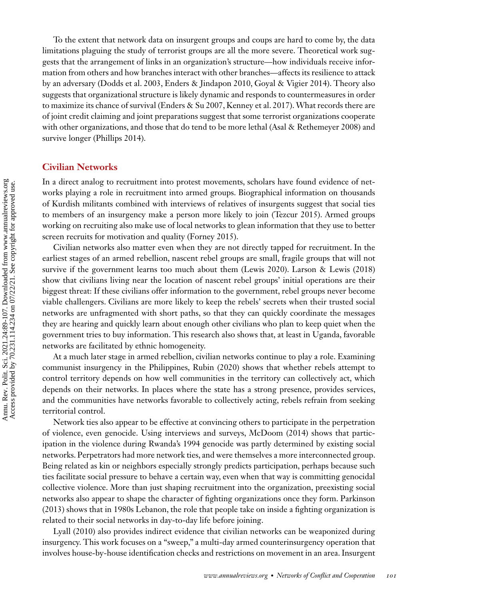To the extent that network data on insurgent groups and coups are hard to come by, the data limitations plaguing the study of terrorist groups are all the more severe. Theoretical work suggests that the arrangement of links in an organization's structure—how individuals receive information from others and how branches interact with other branches—affects its resilience to attack by an adversary [\(Dodds et al. 2003, Enders & Jindapon 2010, Goyal & Vigier 2014\)](#page-16-0). Theory also suggests that organizational structure is likely dynamic and responds to countermeasures in order to maximize its chance of survival [\(Enders & Su 2007,](#page-16-0) [Kenney et al. 2017\)](#page-17-0).What records there are of joint credit claiming and joint preparations suggest that some terrorist organizations cooperate with other organizations, and those that do tend to be more lethal [\(Asal & Rethemeyer 2008\)](#page-15-0) and survive longer [\(Phillips 2014\)](#page-18-0).

## **Civilian Networks**

In a direct analog to recruitment into protest movements, scholars have found evidence of networks playing a role in recruitment into armed groups. Biographical information on thousands of Kurdish militants combined with interviews of relatives of insurgents suggest that social ties to members of an insurgency make a person more likely to join [\(Tezcur 2015\)](#page-18-0). Armed groups working on recruiting also make use of local networks to glean information that they use to better screen recruits for motivation and quality [\(Forney 2015\)](#page-16-0).

Civilian networks also matter even when they are not directly tapped for recruitment. In the earliest stages of an armed rebellion, nascent rebel groups are small, fragile groups that will not survive if the government learns too much about them [\(Lewis 2020\)](#page-17-0). [Larson & Lewis \(2018\)](#page-17-0) show that civilians living near the location of nascent rebel groups' initial operations are their biggest threat: If these civilians offer information to the government, rebel groups never become viable challengers. Civilians are more likely to keep the rebels' secrets when their trusted social networks are unfragmented with short paths, so that they can quickly coordinate the messages they are hearing and quickly learn about enough other civilians who plan to keep quiet when the government tries to buy information. This research also shows that, at least in Uganda, favorable networks are facilitated by ethnic homogeneity.

At a much later stage in armed rebellion, civilian networks continue to play a role. Examining communist insurgency in the Philippines, [Rubin \(2020\)](#page-18-0) shows that whether rebels attempt to control territory depends on how well communities in the territory can collectively act, which depends on their networks. In places where the state has a strong presence, provides services, and the communities have networks favorable to collectively acting, rebels refrain from seeking territorial control.

Network ties also appear to be effective at convincing others to participate in the perpetration of violence, even genocide. Using interviews and surveys, [McDoom \(2014\)](#page-17-0) shows that participation in the violence during Rwanda's 1994 genocide was partly determined by existing social networks. Perpetrators had more network ties, and were themselves a more interconnected group. Being related as kin or neighbors especially strongly predicts participation, perhaps because such ties facilitate social pressure to behave a certain way, even when that way is committing genocidal collective violence. More than just shaping recruitment into the organization, preexisting social [networks also appear to shape the character of fighting organizations once they form. Parkinson](#page-18-0) (2013) shows that in 1980s Lebanon, the role that people take on inside a fighting organization is related to their social networks in day-to-day life before joining.

[Lyall \(2010\)](#page-17-0) also provides indirect evidence that civilian networks can be weaponized during insurgency. This work focuses on a "sweep," a multi-day armed counterinsurgency operation that involves house-by-house identification checks and restrictions on movement in an area. Insurgent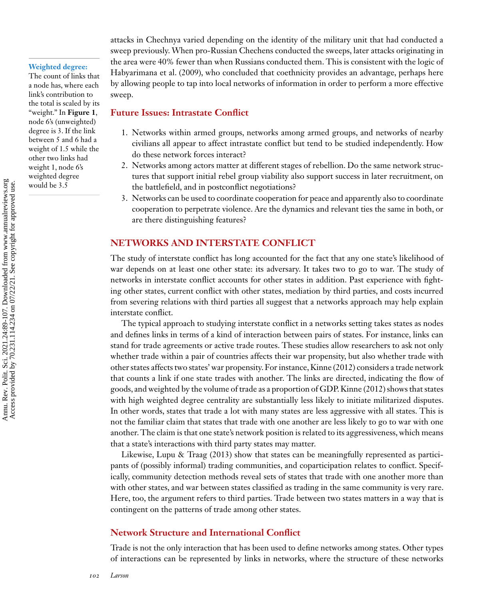#### **Weighted degree:**

The count of links that a node has, where each link's contribution to the total is scaled by its "weight." In **Figure 1**, node 6's (unweighted) degree is 3. If the link between 5 and 6 had a weight of 1.5 while the other two links had weight 1, node 6's weighted degree would be 3.5

attacks in Chechnya varied depending on the identity of the military unit that had conducted a sweep previously. When pro-Russian Chechens conducted the sweeps, later attacks originating in the area were 40% fewer than when Russians conducted them. This is consistent with the logic of [Habyarimana et al. \(2009\),](#page-16-0) who concluded that coethnicity provides an advantage, perhaps here by allowing people to tap into local networks of information in order to perform a more effective sweep.

#### **Future Issues: Intrastate Conflict**

- 1. Networks within armed groups, networks among armed groups, and networks of nearby civilians all appear to affect intrastate conflict but tend to be studied independently. How do these network forces interact?
- 2. Networks among actors matter at different stages of rebellion. Do the same network structures that support initial rebel group viability also support success in later recruitment, on the battlefield, and in postconflict negotiations?
- 3. Networks can be used to coordinate cooperation for peace and apparently also to coordinate cooperation to perpetrate violence. Are the dynamics and relevant ties the same in both, or are there distinguishing features?

### **NETWORKS AND INTERSTATE CONFLICT**

The study of interstate conflict has long accounted for the fact that any one state's likelihood of war depends on at least one other state: its adversary. It takes two to go to war. The study of networks in interstate conflict accounts for other states in addition. Past experience with fighting other states, current conflict with other states, mediation by third parties, and costs incurred from severing relations with third parties all suggest that a networks approach may help explain interstate conflict.

The typical approach to studying interstate conflict in a networks setting takes states as nodes and defines links in terms of a kind of interaction between pairs of states. For instance, links can stand for trade agreements or active trade routes. These studies allow researchers to ask not only whether trade within a pair of countries affects their war propensity, but also whether trade with other states affects two states' war propensity. For instance, [Kinne \(2012\)](#page-17-0) considers a trade network that counts a link if one state trades with another. The links are directed, indicating the flow of goods, and weighted by the volume of trade as a proportion of GDP. [Kinne \(2012\)](#page-17-0) shows that states with high weighted degree centrality are substantially less likely to initiate militarized disputes. In other words, states that trade a lot with many states are less aggressive with all states. This is not the familiar claim that states that trade with one another are less likely to go to war with one another. The claim is that one state's network position is related to its aggressiveness, which means that a state's interactions with third party states may matter.

Likewise, [Lupu & Traag \(2013\)](#page-17-0) show that states can be meaningfully represented as participants of (possibly informal) trading communities, and coparticipation relates to conflict. Specifically, community detection methods reveal sets of states that trade with one another more than with other states, and war between states classified as trading in the same community is very rare. Here, too, the argument refers to third parties. Trade between two states matters in a way that is contingent on the patterns of trade among other states.

### **Network Structure and International Conflict**

Trade is not the only interaction that has been used to define networks among states. Other types of interactions can be represented by links in networks, where the structure of these networks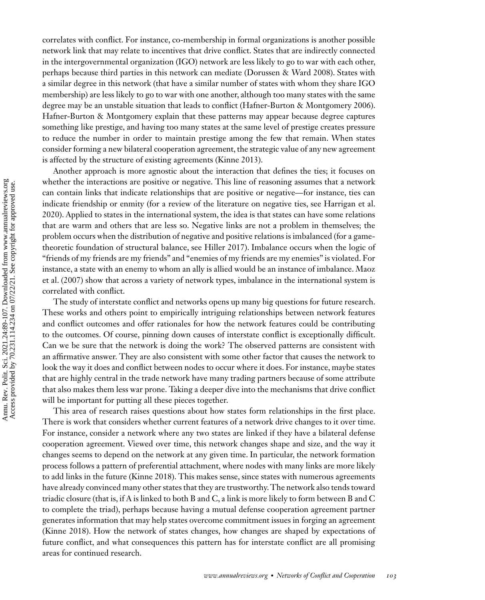correlates with conflict. For instance, co-membership in formal organizations is another possible network link that may relate to incentives that drive conflict. States that are indirectly connected in the intergovernmental organization (IGO) network are less likely to go to war with each other, perhaps because third parties in this network can mediate [\(Dorussen & Ward 2008\)](#page-16-0). States with a similar degree in this network (that have a similar number of states with whom they share IGO membership) are less likely to go to war with one another, although too many states with the same degree may be an unstable situation that leads to conflict [\(Hafner-Burton & Montgomery 2006\)](#page-17-0). Hafner-Burton & Montgomery explain that these patterns may appear because degree captures something like prestige, and having too many states at the same level of prestige creates pressure to reduce the number in order to maintain prestige among the few that remain. When states consider forming a new bilateral cooperation agreement, the strategic value of any new agreement is affected by the structure of existing agreements [\(Kinne 2013\)](#page-17-0).

Another approach is more agnostic about the interaction that defines the ties; it focuses on whether the interactions are positive or negative. This line of reasoning assumes that a network can contain links that indicate relationships that are positive or negative—for instance, ties can [indicate friendship or enmity \(for a review of the literature on negative ties, see Harrigan et al.](#page-17-0) 2020). Applied to states in the international system, the idea is that states can have some relations that are warm and others that are less so. Negative links are not a problem in themselves; the problem occurs when the distribution of negative and positive relations is imbalanced (for a gametheoretic foundation of structural balance, see [Hiller 2017\)](#page-17-0). Imbalance occurs when the logic of "friends of my friends are my friends" and "enemies of my friends are my enemies" is violated. For instance, a state with an enemy to whom an ally is allied would be an instance of imbalance. Maoz [et al. \(2007\) show that across a variety of network types, imbalance in the international system is](#page-17-0) correlated with conflict.

The study of interstate conflict and networks opens up many big questions for future research. These works and others point to empirically intriguing relationships between network features and conflict outcomes and offer rationales for how the network features could be contributing to the outcomes. Of course, pinning down causes of interstate conflict is exceptionally difficult. Can we be sure that the network is doing the work? The observed patterns are consistent with an affirmative answer. They are also consistent with some other factor that causes the network to look the way it does and conflict between nodes to occur where it does. For instance, maybe states that are highly central in the trade network have many trading partners because of some attribute that also makes them less war prone. Taking a deeper dive into the mechanisms that drive conflict will be important for putting all these pieces together.

This area of research raises questions about how states form relationships in the first place. There is work that considers whether current features of a network drive changes to it over time. For instance, consider a network where any two states are linked if they have a bilateral defense cooperation agreement. Viewed over time, this network changes shape and size, and the way it changes seems to depend on the network at any given time. In particular, the network formation process follows a pattern of preferential attachment, where nodes with many links are more likely to add links in the future [\(Kinne 2018\)](#page-17-0). This makes sense, since states with numerous agreements have already convinced many other states that they are trustworthy. The network also tends toward triadic closure (that is, if A is linked to both B and C, a link is more likely to form between B and C to complete the triad), perhaps because having a mutual defense cooperation agreement partner generates information that may help states overcome commitment issues in forging an agreement [\(Kinne 2018\)](#page-17-0). How the network of states changes, how changes are shaped by expectations of future conflict, and what consequences this pattern has for interstate conflict are all promising areas for continued research.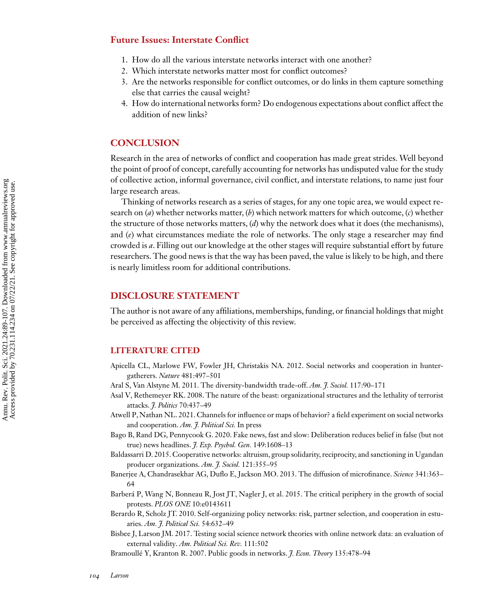#### <span id="page-15-0"></span>**Future Issues: Interstate Conflict**

- 1. How do all the various interstate networks interact with one another?
- 2. Which interstate networks matter most for conflict outcomes?
- 3. Are the networks responsible for conflict outcomes, or do links in them capture something else that carries the causal weight?
- 4. How do international networks form? Do endogenous expectations about conflict affect the addition of new links?

### **CONCLUSION**

Research in the area of networks of conflict and cooperation has made great strides. Well beyond the point of proof of concept, carefully accounting for networks has undisputed value for the study of collective action, informal governance, civil conflict, and interstate relations, to name just four large research areas.

Thinking of networks research as a series of stages, for any one topic area, we would expect research on (*a*) whether networks matter, (*b*) which network matters for which outcome, (*c*) whether the structure of those networks matters, (*d*) why the network does what it does (the mechanisms), and (*e*) what circumstances mediate the role of networks. The only stage a researcher may find crowded is *a*. Filling out our knowledge at the other stages will require substantial effort by future researchers. The good news is that the way has been paved, the value is likely to be high, and there is nearly limitless room for additional contributions.

#### **DISCLOSURE STATEMENT**

The author is not aware of any affiliations, memberships, funding, or financial holdings that might be perceived as affecting the objectivity of this review.

#### **LITERATURE CITED**

- Apicella CL, Marlowe FW, Fowler JH, Christakis NA. 2012. Social networks and cooperation in huntergatherers. *Nature* 481:497–501
- Aral S, Van Alstyne M. 2011. The diversity-bandwidth trade-off. *Am. J. Sociol.* 117:90–171
- Asal V, Rethemeyer RK. 2008. The nature of the beast: organizational structures and the lethality of terrorist attacks. *J. Politics* 70:437–49
- Atwell P, Nathan NL. 2021. Channels for influence or maps of behavior? a field experiment on social networks and cooperation. *Am. J. Political Sci.* In press
- Bago B, Rand DG, Pennycook G. 2020. Fake news, fast and slow: Deliberation reduces belief in false (but not true) news headlines. *J. Exp. Psychol. Gen.* 149:1608–13
- Baldassarri D. 2015. Cooperative networks: altruism, group solidarity, reciprocity, and sanctioning in Ugandan producer organizations. *Am. J. Sociol.* 121:355–95
- Banerjee A, Chandrasekhar AG, Duflo E, Jackson MO. 2013. The diffusion of microfinance. *Science* 341:363– 64
- Barberá P, Wang N, Bonneau R, Jost JT, Nagler J, et al. 2015. The critical periphery in the growth of social protests. *PLOS ONE* 10:e0143611
- Berardo R, Scholz JT. 2010. Self-organizing policy networks: risk, partner selection, and cooperation in estuaries. *Am. J. Political Sci.* 54:632–49
- Bisbee J, Larson JM. 2017. Testing social science network theories with online network data: an evaluation of external validity. *Am. Political Sci. Rev.* 111:502

Bramoullé Y, Kranton R. 2007. Public goods in networks. *J. Econ. Theory* 135:478–94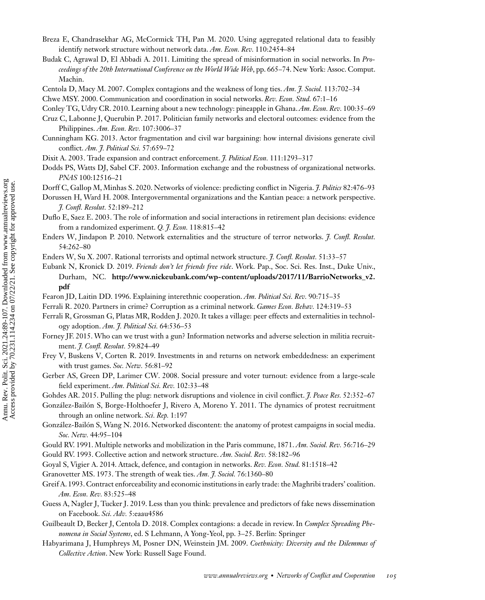- <span id="page-16-0"></span>Breza E, Chandrasekhar AG, McCormick TH, Pan M. 2020. Using aggregated relational data to feasibly identify network structure without network data. *Am. Econ. Rev.* 110:2454–84
- Budak C, Agrawal D, El Abbadi A. 2011. Limiting the spread of misinformation in social networks. In *Proceedings of the 20th International Conference on the World Wide Web*, pp. 665–74. New York: Assoc. Comput. Machin.
- Centola D, Macy M. 2007. Complex contagions and the weakness of long ties. *Am. J. Sociol.* 113:702–34
- Chwe MSY. 2000. Communication and coordination in social networks. *Rev. Econ. Stud.* 67:1–16

Conley TG, Udry CR. 2010. Learning about a new technology: pineapple in Ghana. *Am. Econ. Rev.* 100:35–69

- Cruz C, Labonne J, Querubin P. 2017. Politician family networks and electoral outcomes: evidence from the Philippines. *Am. Econ. Rev.* 107:3006–37
- Cunningham KG. 2013. Actor fragmentation and civil war bargaining: how internal divisions generate civil conflict. *Am. J. Political Sci.* 57:659–72
- Dixit A. 2003. Trade expansion and contract enforcement. *J. Political Econ.* 111:1293–317
- Dodds PS, Watts DJ, Sabel CF. 2003. Information exchange and the robustness of organizational networks. *PNAS* 100:12516–21
- Dorff C, Gallop M, Minhas S. 2020. Networks of violence: predicting conflict in Nigeria. *J. Politics* 82:476–93
- Dorussen H, Ward H. 2008. Intergovernmental organizations and the Kantian peace: a network perspective. *J. Confl. Resolut.* 52:189–212
- Duflo E, Saez E. 2003. The role of information and social interactions in retirement plan decisions: evidence from a randomized experiment. *Q. J. Econ.* 118:815–42
- Enders W, Jindapon P. 2010. Network externalities and the structure of terror networks. *J. Confl. Resolut.* 54:262–80
- Enders W, Su X. 2007. Rational terrorists and optimal network structure. *J. Confl. Resolut.* 51:33–57
- Eubank N, Kronick D. 2019. *Friends don't let friends free ride*. Work. Pap., Soc. Sci. Res. Inst., Duke Univ., Durham, NC. **[http://www.nickeubank.com/wp-content/uploads/2017/11/BarrioNetworks\\_v2.](http://www.nickeubank.com/wp-content/uploads/2017/11/BarrioNetworks_v2.pdf) pdf**
- Fearon JD, Laitin DD. 1996. Explaining interethnic cooperation. *Am. Political Sci. Rev.* 90:715–35
- Ferrali R. 2020. Partners in crime? Corruption as a criminal network. *Games Econ. Behav.* 124:319–53
- Ferrali R, Grossman G, Platas MR, Rodden J. 2020. It takes a village: peer effects and externalities in technology adoption. *Am. J. Political Sci.* 64:536–53
- Forney JF. 2015. Who can we trust with a gun? Information networks and adverse selection in militia recruitment. *J. Confl. Resolut.* 59:824–49
- Frey V, Buskens V, Corten R. 2019. Investments in and returns on network embeddedness: an experiment with trust games. *Soc. Netw.* 56:81–92
- Gerber AS, Green DP, Larimer CW. 2008. Social pressure and voter turnout: evidence from a large-scale field experiment. *Am. Political Sci. Rev.* 102:33–48
- Gohdes AR. 2015. Pulling the plug: network disruptions and violence in civil conflict. *J. Peace Res.* 52:352–67
- González-Bailón S, Borge-Holthoefer J, Rivero A, Moreno Y. 2011. The dynamics of protest recruitment through an online network. *Sci. Rep.* 1:197
- González-Bailón S, Wang N. 2016. Networked discontent: the anatomy of protest campaigns in social media. *Soc. Netw.* 44:95–104

Gould RV. 1991. Multiple networks and mobilization in the Paris commune, 1871. *Am. Sociol. Rev.* 56:716–29 Gould RV. 1993. Collective action and network structure. *Am. Sociol. Rev.* 58:182–96

Goyal S, Vigier A. 2014. Attack, defence, and contagion in networks. *Rev. Econ. Stud.* 81:1518–42

- Granovetter MS. 1973. The strength of weak ties. *Am. J. Sociol.* 76:1360–80
- Greif A. 1993. Contract enforceability and economic institutions in early trade: the Maghribi traders' coalition. *Am. Econ. Rev.* 83:525–48
- Guess A, Nagler J, Tucker J. 2019. Less than you think: prevalence and predictors of fake news dissemination on Facebook. *Sci. Adv.* 5:eaau4586
- Guilbeault D, Becker J, Centola D. 2018. Complex contagions: a decade in review. In *Complex Spreading Phenomena in Social Systems*, ed. S Lehmann, A Yong-Yeol, pp. 3–25. Berlin: Springer
- Habyarimana J, Humphreys M, Posner DN, Weinstein JM. 2009. *Coethnicity: Diversity and the Dilemmas of Collective Action*. New York: Russell Sage Found.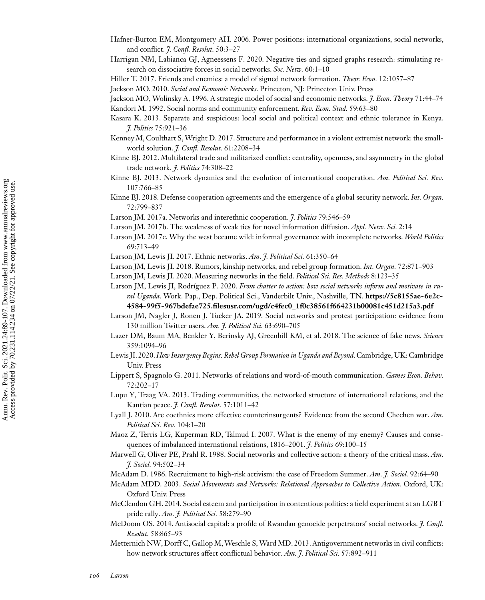- <span id="page-17-0"></span>Hafner-Burton EM, Montgomery AH. 2006. Power positions: international organizations, social networks, and conflict. *J. Confl. Resolut.* 50:3–27
- Harrigan NM, Labianca GJ, Agneessens F. 2020. Negative ties and signed graphs research: stimulating research on dissociative forces in social networks. *Soc. Netw.* 60:1–10

Hiller T. 2017. Friends and enemies: a model of signed network formation. *Theor. Econ.* 12:1057–87

Jackson MO. 2010. *Social and Economic Networks*. Princeton, NJ: Princeton Univ. Press

Jackson MO, Wolinsky A. 1996. A strategic model of social and economic networks. *J. Econ. Theory* 71:44–74 Kandori M. 1992. Social norms and community enforcement. *Rev. Econ. Stud.* 59:63–80

- Kasara K. 2013. Separate and suspicious: local social and political context and ethnic tolerance in Kenya. *J. Politics* 75:921–36
- Kenney M, Coulthart S,Wright D. 2017. Structure and performance in a violent extremist network: the smallworld solution. *J. Confl. Resolut.* 61:2208–34
- Kinne BJ. 2012. Multilateral trade and militarized conflict: centrality, openness, and asymmetry in the global trade network. *J. Politics* 74:308–22
- Kinne BJ. 2013. Network dynamics and the evolution of international cooperation. *Am. Political Sci. Rev.* 107:766–85
- Kinne BJ. 2018. Defense cooperation agreements and the emergence of a global security network. *Int. Organ.* 72:799–837
- Larson JM. 2017a. Networks and interethnic cooperation. *J. Politics* 79:546–59
- Larson JM. 2017b. The weakness of weak ties for novel information diffusion. *Appl. Netw. Sci.* 2:14
- Larson JM. 2017c. Why the west became wild: informal governance with incomplete networks. *World Politics* 69:713–49
- Larson JM, Lewis JI. 2017. Ethnic networks. *Am. J. Political Sci.* 61:350–64
- Larson JM, Lewis JI. 2018. Rumors, kinship networks, and rebel group formation. *Int. Organ.* 72:871–903
- Larson JM, Lewis JI. 2020. Measuring networks in the field. *Political Sci. Res. Methods* 8:123–35
- Larson JM, Lewis JI, Rodríguez P. 2020. *From chatter to action: how social networks inform and motivate in rural Uganda*. Work. Pap., Dep. Political Sci., Vanderbilt Univ., Nashville, TN. **https://5c8155ae-6e2c-**

#### **[4584-99f5-967bdefae725.filesusr.com/ugd/c4fec0\\_1f0c38561f664231b00081c451d215a3.pdf](https://5c8155ae-6e2c-4584-99f5-967bdefae725.filesusr.com/ugd/c4fec0_1f0c38561f664231b00081c451d215a3.pdf)**

- Larson JM, Nagler J, Ronen J, Tucker JA. 2019. Social networks and protest participation: evidence from 130 million Twitter users. *Am. J. Political Sci.* 63:690–705
- Lazer DM, Baum MA, Benkler Y, Berinsky AJ, Greenhill KM, et al. 2018. The science of fake news. *Science* 359:1094–96
- Lewis JI. 2020.*How Insurgency Begins: Rebel Group Formation in Uganda and Beyond*. Cambridge,UK: Cambridge Univ. Press
- Lippert S, Spagnolo G. 2011. Networks of relations and word-of-mouth communication. *Games Econ. Behav.* 72:202–17
- Lupu Y, Traag VA. 2013. Trading communities, the networked structure of international relations, and the Kantian peace. *J. Confl. Resolut.* 57:1011–42
- Lyall J. 2010. Are coethnics more effective counterinsurgents? Evidence from the second Chechen war. *Am. Political Sci. Rev.* 104:1–20
- Maoz Z, Terris LG, Kuperman RD, Talmud I. 2007. What is the enemy of my enemy? Causes and consequences of imbalanced international relations, 1816–2001. *J. Politics* 69:100–15
- Marwell G, Oliver PE, Prahl R. 1988. Social networks and collective action: a theory of the critical mass. *Am. J. Sociol.* 94:502–34

McAdam D. 1986. Recruitment to high-risk activism: the case of Freedom Summer. *Am. J. Sociol.* 92:64–90

- McAdam MDD. 2003. *Social Movements and Networks: Relational Approaches to Collective Action*. Oxford, UK: Oxford Univ. Press
- McClendon GH. 2014. Social esteem and participation in contentious politics: a field experiment at an LGBT pride rally. *Am. J. Political Sci.* 58:279–90
- McDoom OS. 2014. Antisocial capital: a profile of Rwandan genocide perpetrators' social networks. *J. Confl. Resolut.* 58:865–93
- Metternich NW, Dorff C, Gallop M, Weschle S, Ward MD. 2013. Antigovernment networks in civil conflicts: how network structures affect conflictual behavior. *Am. J. Political Sci.* 57:892–911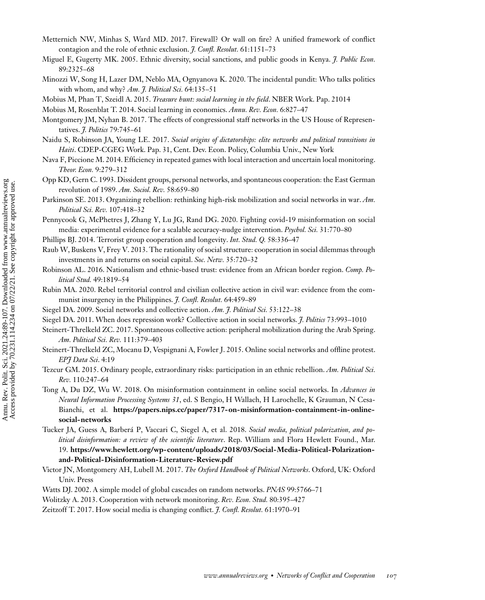- <span id="page-18-0"></span>Metternich NW, Minhas S, Ward MD. 2017. Firewall? Or wall on fire? A unified framework of conflict contagion and the role of ethnic exclusion. *J. Confl. Resolut.* 61:1151–73
- Miguel E, Gugerty MK. 2005. Ethnic diversity, social sanctions, and public goods in Kenya. *J. Public Econ.* 89:2325–68
- Minozzi W, Song H, Lazer DM, Neblo MA, Ognyanova K. 2020. The incidental pundit: Who talks politics with whom, and why? *Am. J. Political Sci.* 64:135–51
- Mobius M, Phan T, Szeidl A. 2015. *Treasure hunt: social learning in the field*. NBER Work. Pap. 21014

- Montgomery JM, Nyhan B. 2017. The effects of congressional staff networks in the US House of Representatives. *J. Politics* 79:745–61
- Naidu S, Robinson JA, Young LE. 2017. *Social origins of dictatorships: elite networks and political transitions in Haiti*. CDEP-CGEG Work. Pap. 31, Cent. Dev. Econ. Policy, Columbia Univ., New York
- Nava F, Piccione M. 2014. Efficiency in repeated games with local interaction and uncertain local monitoring. *Theor. Econ.* 9:279–312
- Opp KD, Gern C. 1993. Dissident groups, personal networks, and spontaneous cooperation: the East German revolution of 1989. *Am. Sociol. Rev.* 58:659–80
- Parkinson SE. 2013. Organizing rebellion: rethinking high-risk mobilization and social networks in war. *Am. Political Sci. Rev.* 107:418–32
- Pennycook G, McPhetres J, Zhang Y, Lu JG, Rand DG. 2020. Fighting covid-19 misinformation on social media: experimental evidence for a scalable accuracy-nudge intervention. *Psychol. Sci.* 31:770–80
- Phillips BJ. 2014. Terrorist group cooperation and longevity. *Int. Stud. Q.* 58:336–47
- Raub W, Buskens V, Frey V. 2013. The rationality of social structure: cooperation in social dilemmas through investments in and returns on social capital. *Soc. Netw.* 35:720–32
- Robinson AL. 2016. Nationalism and ethnic-based trust: evidence from an African border region. *Comp. Political Stud.* 49:1819–54
- Rubin MA. 2020. Rebel territorial control and civilian collective action in civil war: evidence from the communist insurgency in the Philippines. *J. Confl. Resolut.* 64:459–89
- Siegel DA. 2009. Social networks and collective action. *Am. J. Political Sci.* 53:122–38
- Siegel DA. 2011. When does repression work? Collective action in social networks. *J. Politics* 73:993–1010
- Steinert-Threlkeld ZC. 2017. Spontaneous collective action: peripheral mobilization during the Arab Spring. *Am. Political Sci. Rev.* 111:379–403
- Steinert-Threlkeld ZC, Mocanu D, Vespignani A, Fowler J. 2015. Online social networks and offline protest. *EPJ Data Sci*. 4:19
- Tezcur GM. 2015. Ordinary people, extraordinary risks: participation in an ethnic rebellion. *Am. Political Sci. Rev.* 110:247–64
- Tong A, Du DZ, Wu W. 2018. On misinformation containment in online social networks. In *Advances in Neural Information Processing Systems 31*, ed. S Bengio, H Wallach, H Larochelle, K Grauman, N Cesa-Bianchi, et al. **[https://papers.nips.cc/paper/7317-on-misinformation-containment-in-online](https://papers.nips.cc/paper/7317-on-misinformation-containment-in-online-social-networks)social-networks**
- Tucker JA, Guess A, Barberá P, Vaccari C, Siegel A, et al. 2018. *Social media, political polarization, and political disinformation: a review of the scientific literature*. Rep. William and Flora Hewlett Found., Mar. 19. **[https://www.hewlett.org/wp-content/uploads/2018/03/Social-Media-Political-Polarization](https://www.hewlett.org/wp-content/uploads/2018/03/Social-Media-Political-Polarization-and-Political-Disinformation-Literature-Review.pdf)and-Political-Disinformation-Literature-Review.pdf**
- Victor JN, Montgomery AH, Lubell M. 2017. *The Oxford Handbook of Political Networks*. Oxford, UK: Oxford Univ. Press
- Watts DJ. 2002. A simple model of global cascades on random networks. *PNAS* 99:5766–71
- Wolitzky A. 2013. Cooperation with network monitoring. *Rev. Econ. Stud.* 80:395–427
- Zeitzoff T. 2017. How social media is changing conflict. *J. Confl. Resolut.* 61:1970–91

Mobius M, Rosenblat T. 2014. Social learning in economics. *Annu. Rev. Econ.* 6:827–47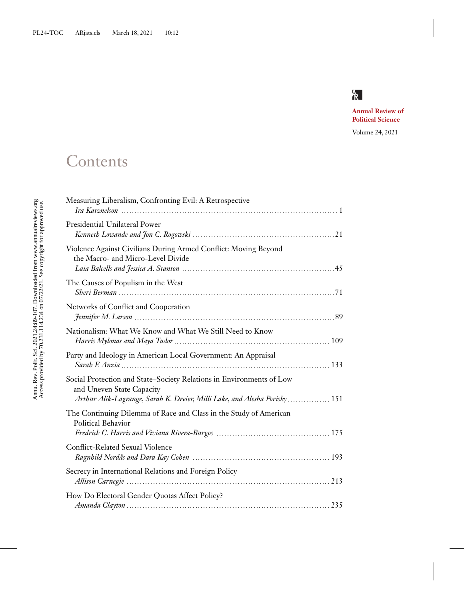

**Annual Review of Political Science**

Volume 24, 2021

# Contents

| Measuring Liberalism, Confronting Evil: A Retrospective                                                                                                                         |
|---------------------------------------------------------------------------------------------------------------------------------------------------------------------------------|
| Presidential Unilateral Power                                                                                                                                                   |
| Violence Against Civilians During Armed Conflict: Moving Beyond<br>the Macro- and Micro-Level Divide                                                                            |
| The Causes of Populism in the West                                                                                                                                              |
| Networks of Conflict and Cooperation                                                                                                                                            |
| Nationalism: What We Know and What We Still Need to Know                                                                                                                        |
| Party and Ideology in American Local Government: An Appraisal                                                                                                                   |
| Social Protection and State-Society Relations in Environments of Low<br>and Uneven State Capacity<br>Arthur Alik-Lagrange, Sarah K. Dreier, Milli Lake, and Alesha Porisky  151 |
| The Continuing Dilemma of Race and Class in the Study of American<br>Political Behavior                                                                                         |
| <b>Conflict-Related Sexual Violence</b>                                                                                                                                         |
| Secrecy in International Relations and Foreign Policy                                                                                                                           |
| How Do Electoral Gender Quotas Affect Policy?                                                                                                                                   |